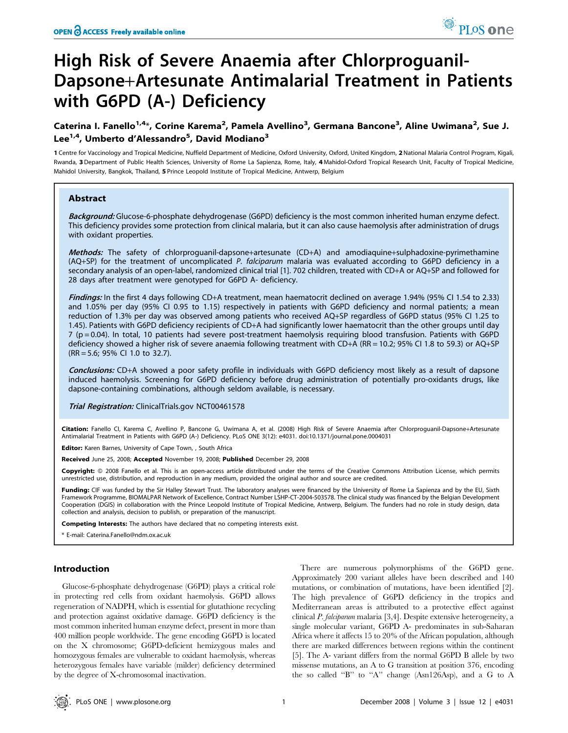# High Risk of Severe Anaemia after Chlorproguanil-Dapsone+Artesunate Antimalarial Treatment in Patients with G6PD (A-) Deficiency

## Caterina I. Fanello<sup>1,4</sup>\*, Corine Karema<sup>2</sup>, Pamela Avellino<sup>3</sup>, Germana Bancone<sup>3</sup>, Aline Uwimana<sup>2</sup>, Sue J. Lee<sup>1,4</sup>, Umberto d'Alessandro<sup>5</sup>, David Modiano<sup>3</sup>

1 Centre for Vaccinology and Tropical Medicine, Nuffield Department of Medicine, Oxford University, Oxford, United Kingdom, 2 National Malaria Control Program, Kigali, Rwanda, 3Department of Public Health Sciences, University of Rome La Sapienza, Rome, Italy, 4 Mahidol-Oxford Tropical Research Unit, Faculty of Tropical Medicine, Mahidol University, Bangkok, Thailand, 5 Prince Leopold Institute of Tropical Medicine, Antwerp, Belgium

## Abstract

Background: Glucose-6-phosphate dehydrogenase (G6PD) deficiency is the most common inherited human enzyme defect. This deficiency provides some protection from clinical malaria, but it can also cause haemolysis after administration of drugs with oxidant properties.

Methods: The safety of chlorproguanil-dapsone+artesunate (CD+A) and amodiaquine+sulphadoxine-pyrimethamine (AQ+SP) for the treatment of uncomplicated P. falciparum malaria was evaluated according to G6PD deficiency in a secondary analysis of an open-label, randomized clinical trial [1]. 702 children, treated with CD+A or AQ+SP and followed for 28 days after treatment were genotyped for G6PD A- deficiency.

Findings: In the first 4 days following CD+A treatment, mean haematocrit declined on average 1.94% (95% CI 1.54 to 2.33) and 1.05% per day (95% CI 0.95 to 1.15) respectively in patients with G6PD deficiency and normal patients; a mean reduction of 1.3% per day was observed among patients who received AQ+SP regardless of G6PD status (95% CI 1.25 to 1.45). Patients with G6PD deficiency recipients of CD+A had significantly lower haematocrit than the other groups until day 7 (p = 0.04). In total, 10 patients had severe post-treatment haemolysis requiring blood transfusion. Patients with G6PD deficiency showed a higher risk of severe anaemia following treatment with CD+A (RR = 10.2; 95% CI 1.8 to 59.3) or AQ+SP (RR = 5.6; 95% CI 1.0 to 32.7).

Conclusions: CD+A showed a poor safety profile in individuals with G6PD deficiency most likely as a result of dapsone induced haemolysis. Screening for G6PD deficiency before drug administration of potentially pro-oxidants drugs, like dapsone-containing combinations, although seldom available, is necessary.

Trial Registration: ClinicalTrials.gov NCT00461578

Citation: Fanello CI, Karema C, Avellino P, Bancone G, Uwimana A, et al. (2008) High Risk of Severe Anaemia after Chlorproguanil-Dapsone+Artesunate Antimalarial Treatment in Patients with G6PD (A-) Deficiency. PLoS ONE 3(12): e4031. doi:10.1371/journal.pone.0004031

Editor: Karen Barnes, University of Cape Town, , South Africa

Received June 25, 2008; Accepted November 19, 2008; Published December 29, 2008

Copyright: @ 2008 Fanello et al. This is an open-access article distributed under the terms of the Creative Commons Attribution License, which permits unrestricted use, distribution, and reproduction in any medium, provided the original author and source are credited.

Funding: CIF was funded by the Sir Halley Stewart Trust. The laboratory analyses were financed by the University of Rome La Sapienza and by the EU, Sixth Framework Programme, BIOMALPAR Network of Excellence, Contract Number LSHP-CT-2004-503578. The clinical study was financed by the Belgian Development Cooperation (DGIS) in collaboration with the Prince Leopold Institute of Tropical Medicine, Antwerp, Belgium. The funders had no role in study design, data collection and analysis, decision to publish, or preparation of the manuscript.

Competing Interests: The authors have declared that no competing interests exist.

\* E-mail: Caterina.Fanello@ndm.ox.ac.uk

## Introduction

Glucose-6-phosphate dehydrogenase (G6PD) plays a critical role in protecting red cells from oxidant haemolysis. G6PD allows regeneration of NADPH, which is essential for glutathione recycling and protection against oxidative damage. G6PD deficiency is the most common inherited human enzyme defect, present in more than 400 million people worldwide. The gene encoding G6PD is located on the X chromosome; G6PD-deficient hemizygous males and homozygous females are vulnerable to oxidant haemolysis, whereas heterozygous females have variable (milder) deficiency determined by the degree of X-chromosomal inactivation.

There are numerous polymorphisms of the G6PD gene. Approximately 200 variant alleles have been described and 140 mutations, or combination of mutations, have been identified [2]. The high prevalence of G6PD deficiency in the tropics and Mediterranean areas is attributed to a protective effect against clinical P. falciparum malaria [3,4]. Despite extensive heterogeneity, a single molecular variant, G6PD A- predominates in sub-Saharan Africa where it affects 15 to 20% of the African population, although there are marked differences between regions within the continent [5]. The A- variant differs from the normal G6PD B allele by two missense mutations, an A to G transition at position 376, encoding the so called ''B'' to ''A'' change (Asn126Asp), and a G to A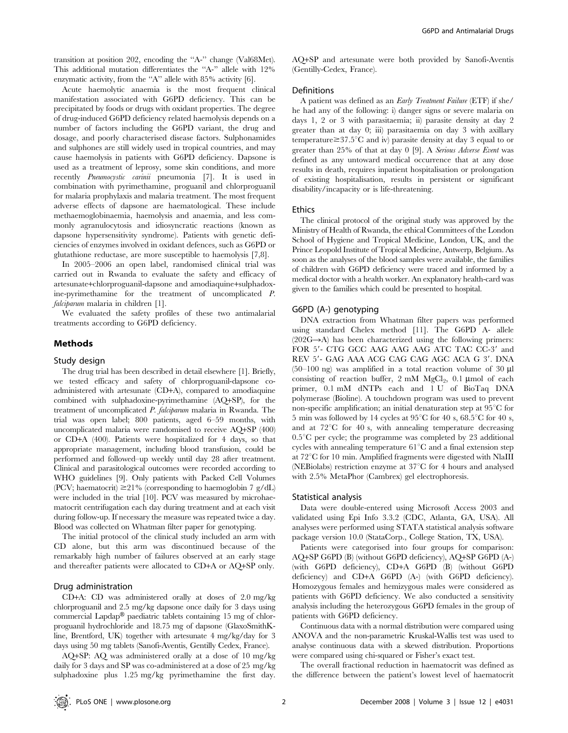transition at position 202, encoding the ''A-'' change (Val68Met). This additional mutation differentiates the "A-" allele with 12% enzymatic activity, from the "A" allele with 85% activity [6].

Acute haemolytic anaemia is the most frequent clinical manifestation associated with G6PD deficiency. This can be precipitated by foods or drugs with oxidant properties. The degree of drug-induced G6PD deficiency related haemolysis depends on a number of factors including the G6PD variant, the drug and dosage, and poorly characterised disease factors. Sulphonamides and sulphones are still widely used in tropical countries, and may cause haemolysis in patients with G6PD deficiency. Dapsone is used as a treatment of leprosy, some skin conditions, and more recently *Pneumocystic carinii* pneumonia [7]. It is used in combination with pyrimethamine, proguanil and chlorproguanil for malaria prophylaxis and malaria treatment. The most frequent adverse effects of dapsone are haematological. These include methaemoglobinaemia, haemolysis and anaemia, and less commonly agranulocytosis and idiosyncratic reactions (known as dapsone hypersensitivity syndrome). Patients with genetic deficiencies of enzymes involved in oxidant defences, such as G6PD or glutathione reductase, are more susceptible to haemolysis [7,8].

In 2005–2006 an open label, randomised clinical trial was carried out in Rwanda to evaluate the safety and efficacy of artesunate+chlorproguanil-dapsone and amodiaquine+sulphadoxine-pyrimethamine for the treatment of uncomplicated P. falciparum malaria in children [1].

We evaluated the safety profiles of these two antimalarial treatments according to G6PD deficiency.

#### Methods

#### Study design

The drug trial has been described in detail elsewhere [1]. Briefly, we tested efficacy and safety of chlorproguanil-dapsone coadministered with artesunate (CD+A), compared to amodiaquine combined with sulphadoxine-pyrimethamine (AQ+SP), for the treatment of uncomplicated P. falciparum malaria in Rwanda. The trial was open label; 800 patients, aged 6–59 months, with uncomplicated malaria were randomised to receive AQ+SP (400) or CD+A (400). Patients were hospitalized for 4 days, so that appropriate management, including blood transfusion, could be performed and followed–up weekly until day 28 after treatment. Clinical and parasitological outcomes were recorded according to WHO guidelines [9]. Only patients with Packed Cell Volumes (PCV; haematocrit)  $\geq$ 21% (corresponding to haemoglobin 7 g/dL) were included in the trial [10]. PCV was measured by microhaematocrit centrifugation each day during treatment and at each visit during follow-up. If necessary the measure was repeated twice a day. Blood was collected on Whatman filter paper for genotyping.

The initial protocol of the clinical study included an arm with CD alone, but this arm was discontinued because of the remarkably high number of failures observed at an early stage and thereafter patients were allocated to CD+A or AQ+SP only.

#### Drug administration

CD+A: CD was administered orally at doses of 2.0 mg/kg chlorproguanil and 2.5 mg/kg dapsone once daily for 3 days using commercial Lapdap® paediatric tablets containing 15 mg of chlorproguanil hydrochloride and 18.75 mg of dapsone (GlaxoSmithKline, Brentford, UK) together with artesunate 4 mg/kg/day for 3 days using 50 mg tablets (Sanofi-Aventis, Gentilly Cedex, France).

AQ+SP: AQ was administered orally at a dose of 10 mg/kg daily for 3 days and SP was co-administered at a dose of 25 mg/kg sulphadoxine plus 1.25 mg/kg pyrimethamine the first day.

AQ+SP and artesunate were both provided by Sanofi-Aventis (Gentilly-Cedex, France).

#### Definitions

A patient was defined as an Early Treatment Failure (ETF) if she/ he had any of the following: i) danger signs or severe malaria on days 1, 2 or 3 with parasitaemia; ii) parasite density at day 2 greater than at day 0; iii) parasitaemia on day 3 with axillary temperature  $\geq$  37.5°C and iv) parasite density at day 3 equal to or greater than 25% of that at day 0 [9]. A Serious Adverse Event was defined as any untoward medical occurrence that at any dose results in death, requires inpatient hospitalisation or prolongation of existing hospitalisation, results in persistent or significant disability/incapacity or is life-threatening.

#### Ethics

The clinical protocol of the original study was approved by the Ministry of Health of Rwanda, the ethical Committees of the London School of Hygiene and Tropical Medicine, London, UK, and the Prince Leopold Institute of Tropical Medicine, Antwerp, Belgium. As soon as the analyses of the blood samples were available, the families of children with G6PD deficiency were traced and informed by a medical doctor with a health worker. An explanatory health-card was given to the families which could be presented to hospital.

#### G6PD (A-) genotyping

DNA extraction from Whatman filter papers was performed using standard Chelex method [11]. The G6PD A- allele  $(202G \rightarrow A)$  has been characterized using the following primers: FOR 5'- CTG GCC AAG AAG AAG ATC TAC CC-3' and REV 5'- GAG AAA ACG CAG CAG AGC ACA G 3'. DNA  $(50-100 \text{ ng})$  was amplified in a total reaction volume of 30  $\mu$ l consisting of reaction buffer,  $2 \text{ mM } MgCl_2$ ,  $0.1 \text{ \mu mol }$  of each primer, 0.1 mM dNTPs each and 1 U of BioTaq DNA polymerase (Bioline). A touchdown program was used to prevent non-specific amplification; an initial denaturation step at  $95^{\circ}$ C for 5 min was followed by 14 cycles at  $95^{\circ}$ C for 40 s,  $68.5^{\circ}$ C for 40 s, and at  $72^{\circ}$ C for 40 s, with annealing temperature decreasing  $0.5^{\circ}$ C per cycle; the programme was completed by 23 additional cycles with annealing temperature  $61^{\circ}$ C and a final extension step at  $72^{\circ}$ C for 10 min. Amplified fragments were digested with NlaIII (NEBiolabs) restriction enzyme at  $37^{\circ}$ C for 4 hours and analysed with 2.5% MetaPhor (Cambrex) gel electrophoresis.

#### Statistical analysis

Data were double-entered using Microsoft Access 2003 and validated using Epi Info 3.3.2 (CDC, Atlanta, GA, USA). All analyses were performed using STATA statistical analysis software package version 10.0 (StataCorp., College Station, TX, USA).

Patients were categorised into four groups for comparison: AQ+SP G6PD (B) (without G6PD deficiency), AQ+SP G6PD (A-) (with G6PD deficiency), CD+A G6PD (B) (without G6PD deficiency) and CD+A G6PD (A-) (with G6PD deficiency). Homozygous females and hemizygous males were considered as patients with G6PD deficiency. We also conducted a sensitivity analysis including the heterozygous G6PD females in the group of patients with G6PD deficiency.

Continuous data with a normal distribution were compared using ANOVA and the non-parametric Kruskal-Wallis test was used to analyse continuous data with a skewed distribution. Proportions were compared using chi-squared or Fisher's exact test.

The overall fractional reduction in haematocrit was defined as the difference between the patient's lowest level of haematocrit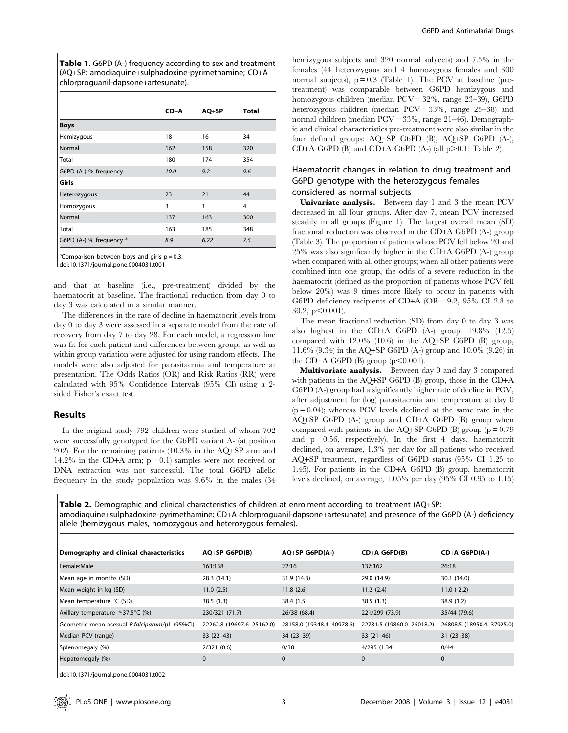Table 1. G6PD (A-) frequency according to sex and treatment (AQ+SP: amodiaquine+sulphadoxine-pyrimethamine; CD+A chlorproguanil-dapsone+artesunate).

|                                    | $CD+A$ | $AQ + SP$ | <b>Total</b> |
|------------------------------------|--------|-----------|--------------|
| <b>Boys</b>                        |        |           |              |
| Hemizygous                         | 18     | 16        | 34           |
| Normal                             | 162    | 158       | 320          |
| Total                              | 180    | 174       | 354          |
| G6PD (A-) % frequency              | 10.0   | 9.2       | 9.6          |
| Girls                              |        |           |              |
| Heterozygous                       | 23     | 21        | 44           |
| Homozygous                         | 3      | 1         | 4            |
| Normal                             | 137    | 163       | 300          |
| Total                              | 163    | 185       | 348          |
| G6PD (A-) % frequency <sup>a</sup> | 8.9    | 6.22      | 7.5          |

<sup>a</sup> Comparison between boys and girls  $p = 0.3$ .

doi:10.1371/journal.pone.0004031.t001

and that at baseline (i.e., pre-treatment) divided by the haematocrit at baseline. The fractional reduction from day 0 to day 3 was calculated in a similar manner.

The differences in the rate of decline in haematocrit levels from day 0 to day 3 were assessed in a separate model from the rate of recovery from day 7 to day 28. For each model, a regression line was fit for each patient and differences between groups as well as within group variation were adjusted for using random effects. The models were also adjusted for parasitaemia and temperature at presentation. The Odds Ratios (OR) and Risk Ratios (RR) were calculated with 95% Confidence Intervals (95% CI) using a 2 sided Fisher's exact test.

## Results

In the original study 792 children were studied of whom 702 were successfully genotyped for the G6PD variant A- (at position 202). For the remaining patients (10.3% in the AQ+SP arm and 14.2% in the CD+A arm;  $p = 0.1$ ) samples were not received or DNA extraction was not successful. The total G6PD allelic frequency in the study population was 9.6% in the males (34

hemizygous subjects and 320 normal subjects) and 7.5% in the females (44 heterozygous and 4 homozygous females and 300 normal subjects),  $p = 0.3$  (Table 1). The PCV at baseline (pretreatment) was comparable between G6PD hemizygous and homozygous children (median PCV = 32%, range 23–39), G6PD heterozygous children (median PCV = 33%, range 25–38) and normal children (median PCV = 33%, range 21–46). Demographic and clinical characteristics pre-treatment were also similar in the four defined groups: AQ+SP G6PD (B), AQ+SP G6PD (A-), CD+A G6PD (B) and CD+A G6PD (A-) (all  $p>0.1$ ; Table 2).

## Haematocrit changes in relation to drug treatment and G6PD genotype with the heterozygous females considered as normal subjects

Univariate analysis. Between day 1 and 3 the mean PCV decreased in all four groups. After day 7, mean PCV increased steadily in all groups (Figure 1). The largest overall mean (SD) fractional reduction was observed in the CD+A G6PD (A-) group (Table 3). The proportion of patients whose PCV fell below 20 and 25% was also significantly higher in the CD+A G6PD (A-) group when compared with all other groups; when all other patients were combined into one group, the odds of a severe reduction in the haematocrit (defined as the proportion of patients whose PCV fell below 20%) was 9 times more likely to occur in patients with G6PD deficiency recipients of CD+A (OR = 9.2, 95% CI 2.8 to  $30.2, p<0.001$ .

The mean fractional reduction (SD) from day 0 to day 3 was also highest in the CD+A G6PD (A-) group: 19.8% (12.5) compared with 12.0% (10.6) in the AQ+SP G6PD (B) group, 11.6% (9.34) in the AQ+SP G6PD (A-) group and 10.0% (9.26) in the CD+A G6PD  $(B)$  group (p $\leq 0.001$ ).

Multivariate analysis. Between day 0 and day 3 compared with patients in the AQ+SP G6PD (B) group, those in the CD+A G6PD (A-) group had a significantly higher rate of decline in PCV, after adjustment for (log) parasitaemia and temperature at day 0  $(p = 0.04)$ ; whereas PCV levels declined at the same rate in the AQ+SP G6PD (A-) group and CD+A G6PD (B) group when compared with patients in the AQ+SP G6PD (B) group ( $p = 0.79$ and  $p = 0.56$ , respectively). In the first 4 days, haematocrit declined, on average, 1.3% per day for all patients who received AQ+SP treatment, regardless of G6PD status (95% CI 1.25 to 1.45). For patients in the CD+A G6PD (B) group, haematocrit levels declined, on average, 1.05% per day (95% CI 0.95 to 1.15)

Table 2. Demographic and clinical characteristics of children at enrolment according to treatment (AQ+SP: amodiaquine+sulphadoxine-pyrimethamine; CD+A chlorproguanil-dapsone+artesunate) and presence of the G6PD (A-) deficiency allele (hemizygous males, homozygous and heterozygous females).

| Demography and clinical characteristics        | $AO+SP$ G6PD(B)           | $AO+SP$ G6PD(A-)          | $CD+A G6PD(B)$            | $CD+A G6PD(A-)$           |
|------------------------------------------------|---------------------------|---------------------------|---------------------------|---------------------------|
| Female:Male                                    | 163:158                   | 22:16                     | 137:162                   | 26:18                     |
| Mean age in months (SD)                        | 28.3 (14.1)               | 31.9 (14.3)               | 29.0 (14.9)               | 30.1 (14.0)               |
| Mean weight in kg (SD)                         | 11.0(2.5)                 | 11.8(2.6)                 | 11.2(2.4)                 | 11.0(2.2)                 |
| Mean temperature °C (SD)                       | 38.5(1.3)                 | 38.4 (1.5)                | 38.5(1.3)                 | 38.9 (1.2)                |
| Axillary temperature $\geq$ 37.5°C (%)         | 230/321 (71.7)            | 26/38 (68.4)              | 221/299 (73.9)            | 35/44 (79.6)              |
| Geometric mean asexual P.falciparum/uL (95%CI) | 22262.8 (19697.6-25162.0) | 28158.0 (19348.4-40978.6) | 22731.5 (19860.0-26018.2) | 26808.5 (18950.4-37925.0) |
| Median PCV (range)                             | $33(22-43)$               | $34(23-39)$               | $33(21-46)$               | $31(23-38)$               |
| Splenomegaly (%)                               | 2/321(0.6)                | 0/38                      | 4/295 (1.34)              | 0/44                      |
| Hepatomegaly (%)                               | 0                         | 0                         | $\mathbf 0$               | $\mathbf{0}$              |

doi:10.1371/journal.pone.0004031.t002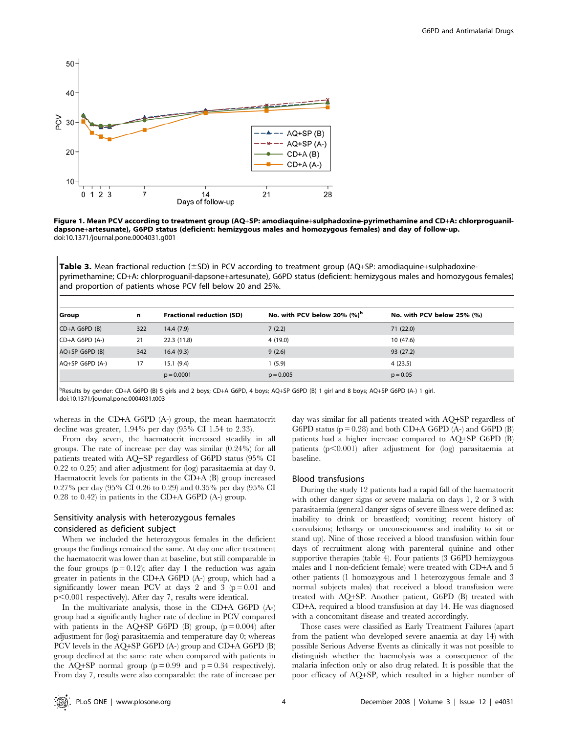



Table 3. Mean fractional reduction ( $\pm$ SD) in PCV according to treatment group (AQ+SP: amodiaquine+sulphadoxinepyrimethamine; CD+A: chlorproguanil-dapsone+artesunate), G6PD status (deficient: hemizygous males and homozygous females) and proportion of patients whose PCV fell below 20 and 25%.

| Group             | n   | <b>Fractional reduction (SD)</b> | No. with PCV below 20% $(%)^b$ | No. with PCV below 25% (%) |
|-------------------|-----|----------------------------------|--------------------------------|----------------------------|
| $CD+A G6PD (B)$   | 322 | 14.4(7.9)                        | 7(2.2)                         | 71(22.0)                   |
| $CD+A G6PD (A-)$  | 21  | 22.3 (11.8)                      | 4(19.0)                        | 10 (47.6)                  |
| $AQ+SP G6PD (B)$  | 342 | 16.4(9.3)                        | 9(2.6)                         | 93 (27.2)                  |
| $AQ+SP G6PD (A-)$ | 17  | 15.1(9.4)                        | 1(5.9)                         | 4(23.5)                    |
|                   |     | $p = 0.0001$                     | $p = 0.005$                    | $p = 0.05$                 |

b<br>Besults by gender: CD+A G6PD (B) 5 girls and 2 boys; CD+A G6PD, 4 boys; AQ+SP G6PD (B) 1 girl and 8 boys; AQ+SP G6PD (A-) 1 girl. doi:10.1371/journal.pone.0004031.t003

whereas in the CD+A G6PD (A-) group, the mean haematocrit decline was greater, 1.94% per day (95% CI 1.54 to 2.33).

From day seven, the haematocrit increased steadily in all groups. The rate of increase per day was similar (0.24%) for all patients treated with AQ+SP regardless of G6PD status (95% CI 0.22 to 0.25) and after adjustment for (log) parasitaemia at day 0. Haematocrit levels for patients in the CD+A (B) group increased 0.27% per day (95% CI 0.26 to 0.29) and 0.35% per day (95% CI 0.28 to 0.42) in patients in the CD+A G6PD (A-) group.

## Sensitivity analysis with heterozygous females considered as deficient subject

When we included the heterozygous females in the deficient groups the findings remained the same. At day one after treatment the haematocrit was lower than at baseline, but still comparable in the four groups  $(p=0.12)$ ; after day 1 the reduction was again greater in patients in the CD+A G6PD (A-) group, which had a significantly lower mean PCV at days 2 and 3 ( $p = 0.01$  and  $p<0.001$  respectively). After day 7, results were identical.

In the multivariate analysis, those in the CD+A G6PD (A-) group had a significantly higher rate of decline in PCV compared with patients in the AQ+SP G6PD (B) group,  $(p = 0.004)$  after adjustment for (log) parasitaemia and temperature day 0; whereas PCV levels in the AQ+SP G6PD (A-) group and CD+A G6PD (B) group declined at the same rate when compared with patients in the AQ+SP normal group ( $p = 0.99$  and  $p = 0.34$  respectively). From day 7, results were also comparable: the rate of increase per

day was similar for all patients treated with AQ+SP regardless of G6PD status ( $p = 0.28$ ) and both CD+A G6PD (A-) and G6PD (B) patients had a higher increase compared to AQ+SP G6PD (B) patients  $(p<0.001)$  after adjustment for  $(log)$  parasitaemia at baseline.

## Blood transfusions

During the study 12 patients had a rapid fall of the haematocrit with other danger signs or severe malaria on days 1, 2 or 3 with parasitaemia (general danger signs of severe illness were defined as: inability to drink or breastfeed; vomiting; recent history of convulsions; lethargy or unconsciousness and inability to sit or stand up). Nine of those received a blood transfusion within four days of recruitment along with parenteral quinine and other supportive therapies (table 4). Four patients (3 G6PD hemizygous males and 1 non-deficient female) were treated with CD+A and 5 other patients (1 homozygous and 1 heterozygous female and 3 normal subjects males) that received a blood transfusion were treated with AQ+SP. Another patient, G6PD (B) treated with CD+A, required a blood transfusion at day 14. He was diagnosed with a concomitant disease and treated accordingly.

Those cases were classified as Early Treatment Failures (apart from the patient who developed severe anaemia at day 14) with possible Serious Adverse Events as clinically it was not possible to distinguish whether the haemolysis was a consequence of the malaria infection only or also drug related. It is possible that the poor efficacy of AQ+SP, which resulted in a higher number of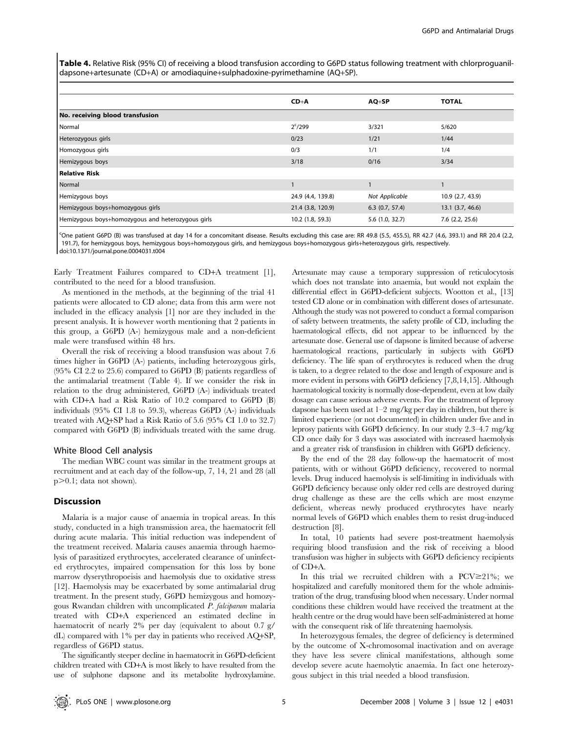Table 4. Relative Risk (95% CI) of receiving a blood transfusion according to G6PD status following treatment with chlorproguanildapsone+artesunate (CD+A) or amodiaquine+sulphadoxine-pyrimethamine (AQ+SP).

|                                                   | $CD+A$            | $AQ+SP$           | <b>TOTAL</b>         |  |  |
|---------------------------------------------------|-------------------|-------------------|----------------------|--|--|
| No. receiving blood transfusion                   |                   |                   |                      |  |  |
| Normal                                            | $2^c/299$         | 3/321             | 5/620                |  |  |
| Heterozygous girls                                | 0/23              | 1/21              | 1/44                 |  |  |
| Homozygous girls                                  | 0/3               | 1/1               | 1/4                  |  |  |
| Hemizygous boys                                   | 3/18              | 0/16              | 3/34                 |  |  |
| Relative Risk                                     |                   |                   |                      |  |  |
| Normal                                            |                   |                   |                      |  |  |
| Hemizygous boys                                   | 24.9 (4.4, 139.8) | Not Applicable    | 10.9 (2.7, 43.9)     |  |  |
| Hemizygous boys+homozygous girls                  | 21.4 (3.8, 120.9) | $6.3$ (0.7, 57.4) | $13.1$ $(3.7, 46.6)$ |  |  |
| Hemizygous boys+homozygous and heterozygous girls | 10.2 (1.8, 59.3)  | 5.6(1.0, 32.7)    | $7.6$ $(2.2, 25.6)$  |  |  |

COne patient G6PD (B) was transfused at day 14 for a concomitant disease. Results excluding this case are: RR 49.8 (5.5, 455.5), RR 42.7 (4.6, 393.1) and RR 20.4 (2.2, 191.7), for hemizygous boys, hemizygous boys+homozygous girls, and hemizygous boys+homozygous girls+heterozygous girls, respectively. doi:10.1371/journal.pone.0004031.t004

Early Treatment Failures compared to CD+A treatment [1], contributed to the need for a blood transfusion.

As mentioned in the methods, at the beginning of the trial 41 patients were allocated to CD alone; data from this arm were not included in the efficacy analysis [1] nor are they included in the present analysis. It is however worth mentioning that 2 patients in this group, a G6PD (A-) hemizygous male and a non-deficient male were transfused within 48 hrs.

Overall the risk of receiving a blood transfusion was about 7.6 times higher in G6PD (A-) patients, including heterozygous girls, (95% CI 2.2 to 25.6) compared to G6PD (B) patients regardless of the antimalarial treatment (Table 4). If we consider the risk in relation to the drug administered, G6PD (A-) individuals treated with CD+A had a Risk Ratio of 10.2 compared to G6PD (B) individuals (95% CI 1.8 to 59.3), whereas G6PD (A-) individuals treated with AQ+SP had a Risk Ratio of 5.6 (95% CI 1.0 to 32.7) compared with G6PD (B) individuals treated with the same drug.

#### White Blood Cell analysis

The median WBC count was similar in the treatment groups at recruitment and at each day of the follow-up, 7, 14, 21 and 28 (all  $p>0.1$ ; data not shown).

## Discussion

Malaria is a major cause of anaemia in tropical areas. In this study, conducted in a high transmission area, the haematocrit fell during acute malaria. This initial reduction was independent of the treatment received. Malaria causes anaemia through haemolysis of parasitized erythrocytes, accelerated clearance of uninfected erythrocytes, impaired compensation for this loss by bone marrow dyserythropoeisis and haemolysis due to oxidative stress [12]. Haemolysis may be exacerbated by some antimalarial drug treatment. In the present study, G6PD hemizygous and homozygous Rwandan children with uncomplicated P. falciparum malaria treated with CD+A experienced an estimated decline in haematocrit of nearly 2% per day (equivalent to about 0.7 g/ dL) compared with 1% per day in patients who received AQ+SP, regardless of G6PD status.

The significantly steeper decline in haematocrit in G6PD-deficient children treated with CD+A is most likely to have resulted from the use of sulphone dapsone and its metabolite hydroxylamine.

Artesunate may cause a temporary suppression of reticulocytosis which does not translate into anaemia, but would not explain the differential effect in G6PD-deficient subjects. Wootton et al., [13] tested CD alone or in combination with different doses of artesunate. Although the study was not powered to conduct a formal comparison of safety between treatments, the safety profile of CD, including the haematological effects, did not appear to be influenced by the artesunate dose. General use of dapsone is limited because of adverse haematological reactions, particularly in subjects with G6PD deficiency. The life span of erythrocytes is reduced when the drug is taken, to a degree related to the dose and length of exposure and is more evident in persons with G6PD deficiency [7,8,14,15]. Although haematological toxicity is normally dose-dependent, even at low daily dosage can cause serious adverse events. For the treatment of leprosy dapsone has been used at 1–2 mg/kg per day in children, but there is limited experience (or not documented) in children under five and in leprosy patients with G6PD deficiency. In our study 2.3–4.7 mg/kg CD once daily for 3 days was associated with increased haemolysis and a greater risk of transfusion in children with G6PD deficiency.

By the end of the 28 day follow-up the haematocrit of most patients, with or without G6PD deficiency, recovered to normal levels. Drug induced haemolysis is self-limiting in individuals with G6PD deficiency because only older red cells are destroyed during drug challenge as these are the cells which are most enzyme deficient, whereas newly produced erythrocytes have nearly normal levels of G6PD which enables them to resist drug-induced destruction [8].

In total, 10 patients had severe post-treatment haemolysis requiring blood transfusion and the risk of receiving a blood transfusion was higher in subjects with G6PD deficiency recipients of CD+A.

In this trial we recruited children with a PCV $\geq$ 21%; we hospitalized and carefully monitored them for the whole administration of the drug, transfusing blood when necessary. Under normal conditions these children would have received the treatment at the health centre or the drug would have been self-administered at home with the consequent risk of life threatening haemolysis.

In heterozygous females, the degree of deficiency is determined by the outcome of X-chromosomal inactivation and on average they have less severe clinical manifestations, although some develop severe acute haemolytic anaemia. In fact one heterozygous subject in this trial needed a blood transfusion.